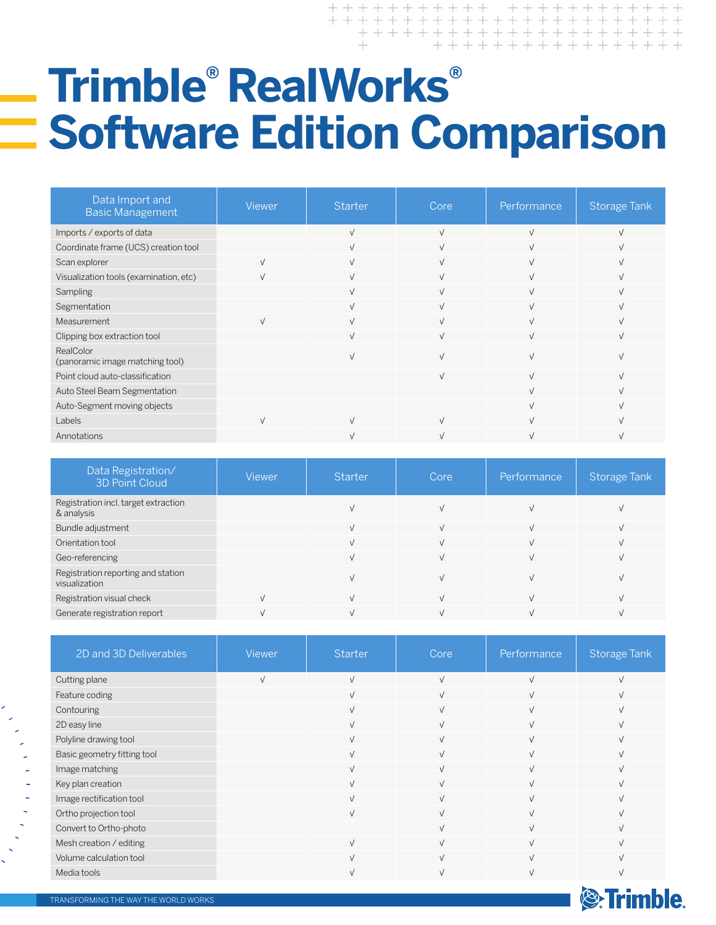## **Trimble®  RealWorks® Software Edition Comparison**

+ + + + + + + + + + + + + + + + + + +

**S**Trimble.

| Data Import and<br><b>Basic Management</b>   | Viewer       | <b>Starter</b> | Core       | Performance    | <b>Storage Tank</b> |
|----------------------------------------------|--------------|----------------|------------|----------------|---------------------|
| Imports / exports of data                    |              | $\sqrt{ }$     | $\sqrt{ }$ | $\sqrt{ }$     | $\sqrt{ }$          |
| Coordinate frame (UCS) creation tool         |              | $\sqrt{ }$     | $\sqrt{ }$ | $\overline{v}$ |                     |
| Scan explorer                                | $\vee$       | $\sqrt{ }$     | $\sqrt{ }$ | $\overline{v}$ |                     |
| Visualization tools (examination, etc)       | $\mathbf{v}$ | $\vee$         | $\sqrt{ }$ | $\mathbf{v}$   | $\sqrt{}$           |
| Sampling                                     |              | $\sqrt{ }$     | $\sqrt{ }$ | $\mathbf{v}$   |                     |
| Segmentation                                 |              | $\sqrt{ }$     | $\sqrt{ }$ | $\sqrt{ }$     |                     |
| Measurement                                  | $\vee$       | $\sqrt{ }$     | $\sqrt{ }$ | $\sqrt{ }$     | $\sqrt{ }$          |
| Clipping box extraction tool                 |              | $\sqrt{ }$     | $\sqrt{ }$ | $\sqrt{ }$     |                     |
| RealColor<br>(panoramic image matching tool) |              | $\overline{V}$ |            | $\mathbf{v}$   |                     |
| Point cloud auto-classification              |              |                | $\sqrt{ }$ | $\sqrt{ }$     |                     |
| Auto Steel Beam Segmentation                 |              |                |            | $\overline{v}$ |                     |
| Auto-Segment moving objects                  |              |                |            | $\overline{u}$ |                     |
| Labels                                       | $\vee$       | $\sqrt{ }$     | $\sqrt{ }$ | $\mathbf{v}$   |                     |
| Annotations                                  |              | V              | $\sqrt{ }$ | $\sqrt{ }$     | $\sqrt{ }$          |

| Data Registration/<br><b>3D Point Cloud</b>         | <b>Viewer</b> | <b>Starter</b> | Core | Performance | Storage Tank |
|-----------------------------------------------------|---------------|----------------|------|-------------|--------------|
| Registration incl. target extraction<br>& analysis  |               |                |      |             |              |
| Bundle adjustment                                   |               |                |      |             |              |
| Orientation tool                                    |               | ν              |      |             |              |
| Geo-referencing                                     |               | V              |      |             |              |
| Registration reporting and station<br>visualization |               |                |      |             |              |
| Registration visual check                           |               |                |      |             |              |
| Generate registration report                        |               |                |      |             |              |

| 2D and 3D Deliverables      | Viewer     | Starter    | Core       | Performance | Storage Tank |
|-----------------------------|------------|------------|------------|-------------|--------------|
| Cutting plane               | $\sqrt{ }$ | $\sqrt{ }$ | $\sqrt{ }$ | $\sqrt{}$   |              |
| Feature coding              |            | $\sqrt{ }$ | $\sqrt{ }$ | $\sqrt{ }$  |              |
| Contouring                  |            | $\sqrt{ }$ | $\sqrt{ }$ | $\sqrt{ }$  |              |
| 2D easy line                |            | $\sqrt{ }$ | $\sqrt{ }$ | $\sqrt{ }$  |              |
| Polyline drawing tool       |            | $\sqrt{ }$ | $\sqrt{ }$ | $\sqrt{}$   |              |
| Basic geometry fitting tool |            | $\sqrt{ }$ | $\sqrt{ }$ | $\sqrt{ }$  |              |
| Image matching              |            | $\sqrt{ }$ | $\sqrt{ }$ | $\sqrt{ }$  |              |
| Key plan creation           |            | $\sqrt{ }$ | $\sqrt{ }$ | $\sqrt{ }$  |              |
| Image rectification tool    |            | $\sqrt{ }$ | $\sqrt{ }$ | $\sqrt{ }$  |              |
| Ortho projection tool       |            | $\sqrt{ }$ | $\sqrt{ }$ | $\sqrt{ }$  |              |
| Convert to Ortho-photo      |            |            | $\sqrt{ }$ | $\sqrt{ }$  |              |
| Mesh creation / editing     |            | $\sqrt{ }$ |            | $\sqrt{ }$  |              |
| Volume calculation tool     |            | $\sqrt{ }$ | $\sqrt{ }$ | $\sqrt{ }$  |              |
| Media tools                 |            |            |            |             |              |